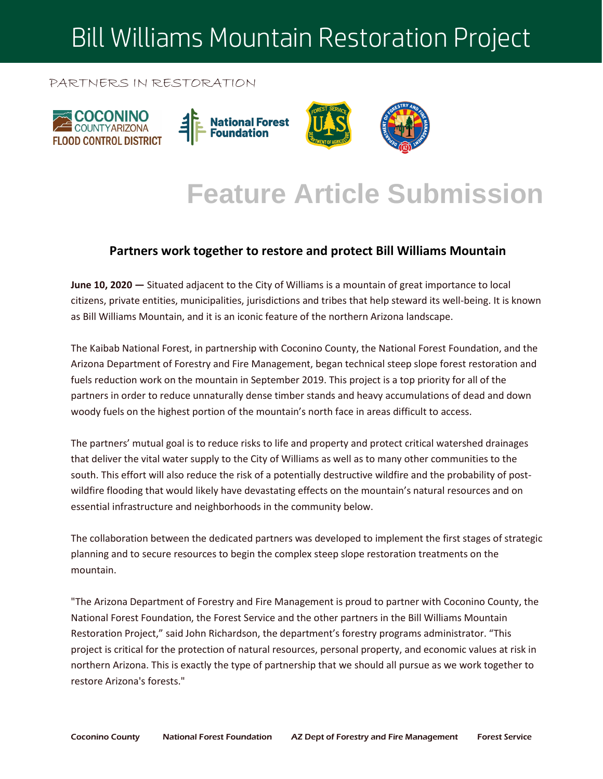# Bill Williams Mountain Restoration Project

#### PARTNERS IN RESTORATION



### **Feature Article Submission**

#### **Partners work together to restore and protect Bill Williams Mountain**

**June 10, 2020 —** Situated adjacent to the City of Williams is a mountain of great importance to local citizens, private entities, municipalities, jurisdictions and tribes that help steward its well-being. It is known as Bill Williams Mountain, and it is an iconic feature of the northern Arizona landscape.

The Kaibab National Forest, in partnership with Coconino County, the National Forest Foundation, and the Arizona Department of Forestry and Fire Management, began technical steep slope forest restoration and fuels reduction work on the mountain in September 2019. This project is a top priority for all of the partners in order to reduce unnaturally dense timber stands and heavy accumulations of dead and down woody fuels on the highest portion of the mountain's north face in areas difficult to access.

The partners' mutual goal is to reduce risks to life and property and protect critical watershed drainages that deliver the vital water supply to the City of Williams as well as to many other communities to the south. This effort will also reduce the risk of a potentially destructive wildfire and the probability of postwildfire flooding that would likely have devastating effects on the mountain's natural resources and on essential infrastructure and neighborhoods in the community below.

The collaboration between the dedicated partners was developed to implement the first stages of strategic planning and to secure resources to begin the complex steep slope restoration treatments on the mountain.

"The Arizona Department of Forestry and Fire Management is proud to partner with Coconino County, the National Forest Foundation, the Forest Service and the other partners in the Bill Williams Mountain Restoration Project," said John Richardson, the department's forestry programs administrator. "This project is critical for the protection of natural resources, personal property, and economic values at risk in northern Arizona. This is exactly the type of partnership that we should all pursue as we work together to restore Arizona's forests."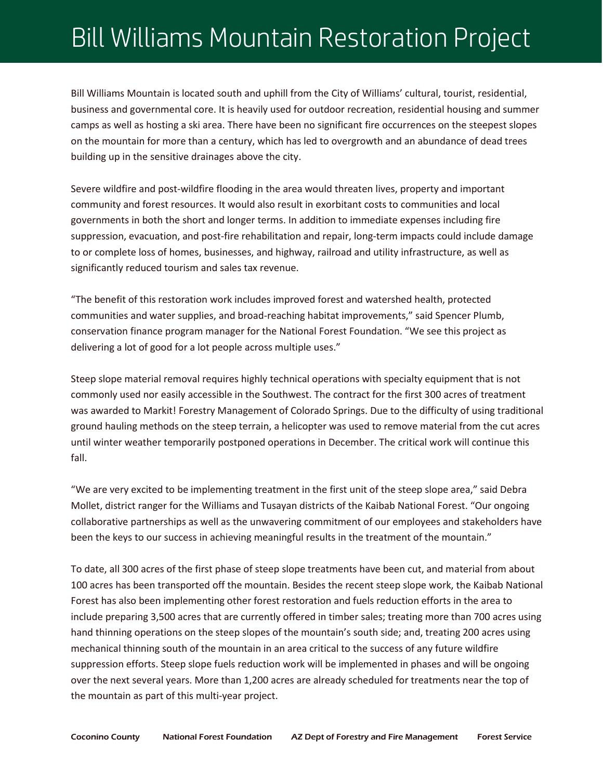## Bill Williams Mountain Restoration Project

Bill Williams Mountain is located south and uphill from the City of Williams' cultural, tourist, residential, business and governmental core. It is heavily used for outdoor recreation, residential housing and summer camps as well as hosting a ski area. There have been no significant fire occurrences on the steepest slopes on the mountain for more than a century, which has led to overgrowth and an abundance of dead trees building up in the sensitive drainages above the city.

Severe wildfire and post-wildfire flooding in the area would threaten lives, property and important community and forest resources. It would also result in exorbitant costs to communities and local governments in both the short and longer terms. In addition to immediate expenses including fire suppression, evacuation, and post-fire rehabilitation and repair, long-term impacts could include damage to or complete loss of homes, businesses, and highway, railroad and utility infrastructure, as well as significantly reduced tourism and sales tax revenue.

"The benefit of this restoration work includes improved forest and watershed health, protected communities and water supplies, and broad-reaching habitat improvements," said Spencer Plumb, conservation finance program manager for the National Forest Foundation. "We see this project as delivering a lot of good for a lot people across multiple uses."

Steep slope material removal requires highly technical operations with specialty equipment that is not commonly used nor easily accessible in the Southwest. The contract for the first 300 acres of treatment was awarded to Markit! Forestry Management of Colorado Springs. Due to the difficulty of using traditional ground hauling methods on the steep terrain, a helicopter was used to remove material from the cut acres until winter weather temporarily postponed operations in December. The critical work will continue this fall.

"We are very excited to be implementing treatment in the first unit of the steep slope area," said Debra Mollet, district ranger for the Williams and Tusayan districts of the Kaibab National Forest. "Our ongoing collaborative partnerships as well as the unwavering commitment of our employees and stakeholders have been the keys to our success in achieving meaningful results in the treatment of the mountain."

To date, all 300 acres of the first phase of steep slope treatments have been cut, and material from about 100 acres has been transported off the mountain. Besides the recent steep slope work, the Kaibab National Forest has also been implementing other forest restoration and fuels reduction efforts in the area to include preparing 3,500 acres that are currently offered in timber sales; treating more than 700 acres using hand thinning operations on the steep slopes of the mountain's south side; and, treating 200 acres using mechanical thinning south of the mountain in an area critical to the success of any future wildfire suppression efforts. Steep slope fuels reduction work will be implemented in phases and will be ongoing over the next several years. More than 1,200 acres are already scheduled for treatments near the top of the mountain as part of this multi-year project.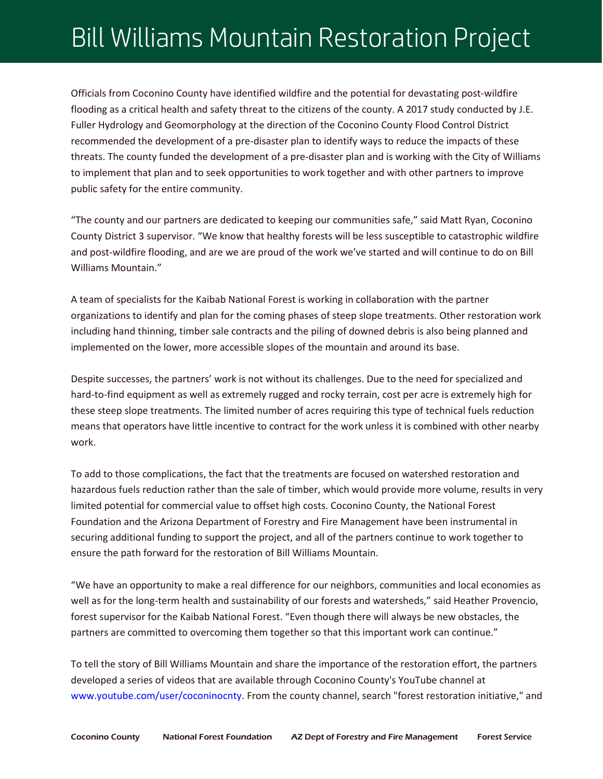## Bill Williams Mountain Restoration Project

Officials from Coconino County have identified wildfire and the potential for devastating post-wildfire flooding as a critical health and safety threat to the citizens of the county. A 2017 study conducted by J.E. Fuller Hydrology and Geomorphology at the direction of the Coconino County Flood Control District recommended the development of a pre-disaster plan to identify ways to reduce the impacts of these threats. The county funded the development of a pre-disaster plan and is working with the City of Williams to implement that plan and to seek opportunities to work together and with other partners to improve public safety for the entire community.

"The county and our partners are dedicated to keeping our communities safe," said Matt Ryan, Coconino County District 3 supervisor. "We know that healthy forests will be less susceptible to catastrophic wildfire and post-wildfire flooding, and are we are proud of the work we've started and will continue to do on Bill Williams Mountain."

A team of specialists for the Kaibab National Forest is working in collaboration with the partner organizations to identify and plan for the coming phases of steep slope treatments. Other restoration work including hand thinning, timber sale contracts and the piling of downed debris is also being planned and implemented on the lower, more accessible slopes of the mountain and around its base.

Despite successes, the partners' work is not without its challenges. Due to the need for specialized and hard-to-find equipment as well as extremely rugged and rocky terrain, cost per acre is extremely high for these steep slope treatments. The limited number of acres requiring this type of technical fuels reduction means that operators have little incentive to contract for the work unless it is combined with other nearby work.

To add to those complications, the fact that the treatments are focused on watershed restoration and hazardous fuels reduction rather than the sale of timber, which would provide more volume, results in very limited potential for commercial value to offset high costs. Coconino County, the National Forest Foundation and the Arizona Department of Forestry and Fire Management have been instrumental in securing additional funding to support the project, and all of the partners continue to work together to ensure the path forward for the restoration of Bill Williams Mountain.

"We have an opportunity to make a real difference for our neighbors, communities and local economies as well as for the long-term health and sustainability of our forests and watersheds," said Heather Provencio, forest supervisor for the Kaibab National Forest. "Even though there will always be new obstacles, the partners are committed to overcoming them together so that this important work can continue."

To tell the story of Bill Williams Mountain and share the importance of the restoration effort, the partners developed a series of videos that are available through Coconino County's YouTube channel at [www.youtube.com/user/coconinocnty.](https://www.youtube.com/user/coconinocnty) From the county channel, search "forest restoration initiative," and